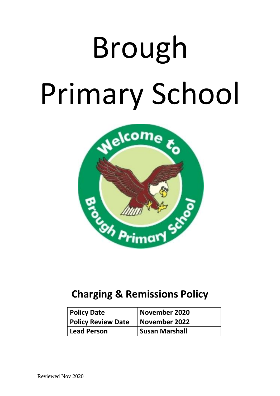# Brough Primary School



## **Charging & Remissions Policy**

| <b>Policy Date</b>        | <b>November 2020</b>  |
|---------------------------|-----------------------|
| <b>Policy Review Date</b> | November 2022         |
| Lead Person               | <b>Susan Marshall</b> |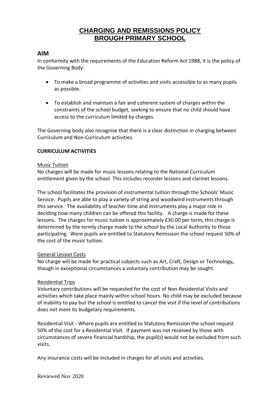### **CHARGING AND REMISSIONS POLICY BROUGH PRIMARY SCHOOL**

#### **AIM**

In conformity with the requirements of the Education Reform Act 1988, it is the policy of the Governing Body:

- To make a broad programme of activities and visits accessible to as many pupils as possible.
- To establish and maintain a fair and coherent system of charges within the constraints of the school budget, seeking to ensure that no child should have access to the curriculum limited by charges.

The Governing body also recognise that there is a clear distinction in charging between Curriculum and Non-Curriculum activities.

#### **CURRICULUM ACTIVITIES**

#### Music Tuition

No charges will be made for music lessons relating to the National Curriculum entitlement given by the school. This includes recorder lessons and clarinet lessons.

The school facilitates the provision of instrumental tuition through the Schools' Music Service. Pupils are able to play a variety of string and woodwind instruments through this service. The availability of teacher time and instruments play a major role in deciding how many children can be offered this facility. A charge is made for these lessons. The charges for music tuition is approximately £30.00 per term, this charge is determined by the termly charge made to the school by the Local Authority to those participating. Were pupils are entitled to Statutory Remission the school request 50% of the cost of the music tuition.

#### General Lesson Costs

No charge will be made for practical subjects such as Art, Craft, Design or Technology**,**  though in exceptional circumstances a voluntary contribution may be sought.

#### Residential Trips

Voluntary contributions will be requested for the cost of Non-Residential Visits and activities which take place mainly within school hours. No child may be excluded because of inability to pay but the school is entitled to cancel the visit if the level of contributions does not meet its budgetary requirements.

Residential Visit - Where pupils are entitled to Statutory Remission the school request 50% of the cost for a Residential Visit. If payment was not received by those with circumstances of severe financial hardship, the pupil(s) would not be excluded from such visits.

Any insurance costs will be included in charges for all visits and activities.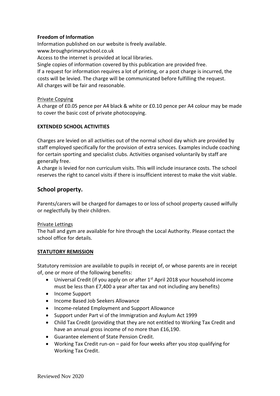#### **Freedom of Information**

Information published on our website is freely available. www.broughprimaryschool.co.uk Access to the internet is provided at local libraries. Single copies of information covered by this publication are provided free. If a request for information requires a lot of printing, or a post charge is incurred, the costs will be levied. The charge will be communicated before fulfilling the request. All charges will be fair and reasonable.

#### Private Copying

A charge of £0.05 pence per A4 black & white or £0.10 pence per A4 colour may be made to cover the basic cost of private photocopying.

#### **EXTENDED SCHOOL ACTIVITIES**

Charges are levied on all activities out of the normal school day which are provided by staff employed specifically for the provision of extra services. Examples include coaching for certain sporting and specialist clubs. Activities organised voluntarily by staff are generally free.

A charge is levied for non curriculum visits. This will include insurance costs. The school reserves the right to cancel visits if there is insufficient interest to make the visit viable.

#### **School property.**

Parents/carers will be charged for damages to or loss of school property caused wilfully or neglectfully by their children.

#### Private Lettings

The hall and gym are available for hire through the Local Authority. Please contact the school office for details.

#### **STATUTORY REMISSION**

Statutory remission are available to pupils in receipt of, or whose parents are in receipt of, one or more of the following benefits:

- Universal Credit (if you apply on or after  $1<sup>st</sup>$  April 2018 your household income must be less than £7,400 a year after tax and not including any benefits)
- Income Support
- Income Based Job Seekers Allowance
- Income-related Employment and Support Allowance
- Support under Part vi of the Immigration and Asylum Act 1999
- Child Tax Credit (providing that they are not entitled to Working Tax Credit and have an annual gross income of no more than £16,190.
- Guarantee element of State Pension Credit.
- Working Tax Credit run-on paid for four weeks after you stop qualifying for Working Tax Credit.